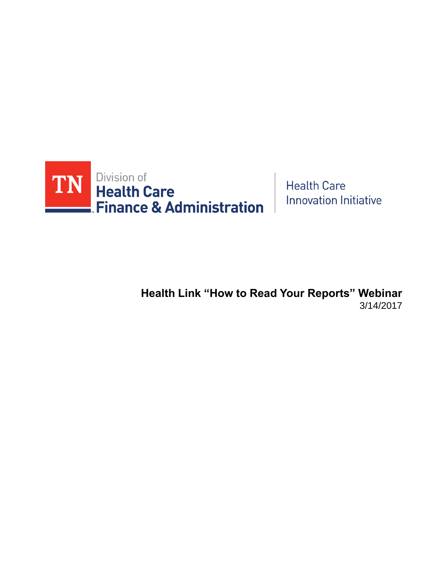

**Health Care Innovation Initiative** 

**Health Link "How to Read Your Reports" Webinar** 3/14/2017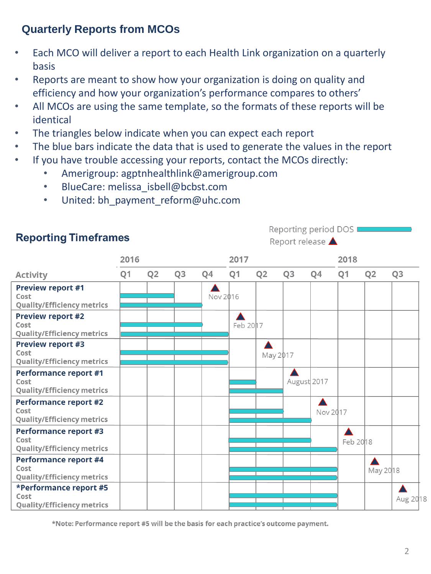### **Quarterly Reports from MCOs**

- Each MCO will deliver a report to each Health Link organization on a quarterly basis
- Reports are meant to show how your organization is doing on quality and efficiency and how your organization's performance compares to others'
- All MCOs are using the same template, so the formats of these reports will be identical
- The triangles below indicate when you can expect each report
- The blue bars indicate the data that is used to generate the values in the report
- If you have trouble accessing your reports, contact the MCOs directly:
	- Amerigroup: agptnhealthlink@amerigroup.com
	- BlueCare: melissa isbell@bcbst.com
	- United: bh\_payment\_reform@uhc.com



\*Note: Performance report #5 will be the basis for each practice's outcome payment.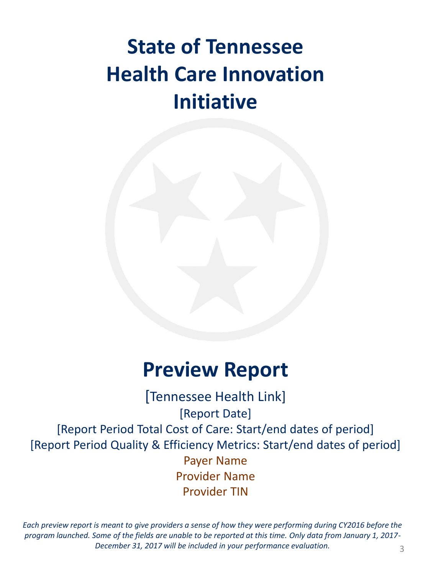## **State of Tennessee Health Care Innovation Initiative**



### **Preview Report**

Payer Name Provider Name Provider TIN [Tennessee Health Link] [Report Date] [Report Period Total Cost of Care: Start/end dates of period] [Report Period Quality & Efficiency Metrics: Start/end dates of period]

*Each preview report is meant to give providers a sense of how they were performing during CY2016 before the program launched. Some of the fields are unable to be reported at this time. Only data from January 1, 2017- December 31, 2017 will be included in your performance evaluation.* 3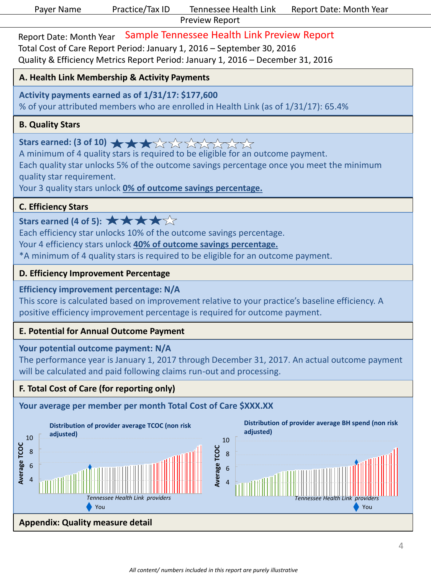|  | Paver Name |
|--|------------|
|  |            |

Sample Tennessee Health Link Preview Report Report Date: Month Year Total Cost of Care Report Period: January 1, 2016 – September 30, 2016 Quality & Efficiency Metrics Report Period: January 1, 2016 – December 31, 2016

#### **A. Health Link Membership & Activity Payments**

#### **Activity payments earned as of 1/31/17: \$177,600**

% of your attributed members who are enrolled in Health Link (as of 1/31/17): 65.4%

#### **B. Quality Stars**

Stars earned: (3 of 10) **★ ★ ★** 

A minimum of 4 quality stars is required to be eligible for an outcome payment.

Each quality star unlocks 5% of the outcome savings percentage once you meet the minimum quality star requirement.

Your 3 quality stars unlock **0% of outcome savings percentage.**

#### **C. Efficiency Stars**

### Stars earned (4 of 5):  $\star \star \star \star$

Each efficiency star unlocks 10% of the outcome savings percentage.

Your 4 efficiency stars unlock **40% of outcome savings percentage.**

\*A minimum of 4 quality stars is required to be eligible for an outcome payment.

#### **D. Efficiency Improvement Percentage**

#### **Efficiency improvement percentage: N/A**

This score is calculated based on improvement relative to your practice's baseline efficiency. A positive efficiency improvement percentage is required for outcome payment.

#### **E. Potential for Annual Outcome Payment**

### **Your potential outcome payment: N/A**

The performance year is January 1, 2017 through December 31, 2017. An actual outcome payment will be calculated and paid following claims run-out and processing.

#### **F. Total Cost of Care (for reporting only)**

### **Your average per member per month Total Cost of Care \$XXX.XX**



#### **Distribution of provider average BH spend (non risk adjusted)**



### **Appendix: Quality measure detail**

**Average TCOC** 

Average TCOC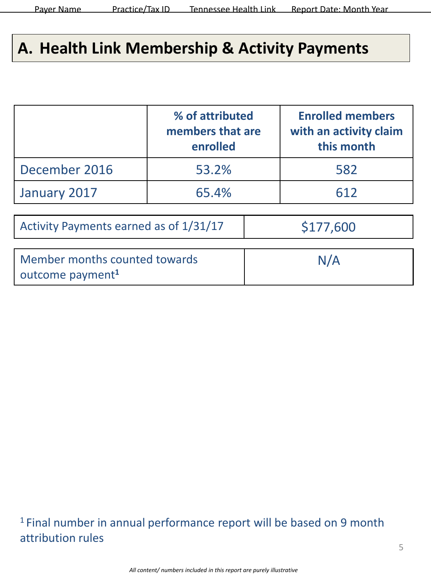### **A. Health Link Membership & Activity Payments**

|                                                               | % of attributed<br>members that are<br>enrolled | <b>Enrolled members</b><br>with an activity claim<br>this month |
|---------------------------------------------------------------|-------------------------------------------------|-----------------------------------------------------------------|
| December 2016                                                 | 53.2%                                           | 582                                                             |
| January 2017                                                  | 65.4%                                           | 612                                                             |
| Activity Payments earned as of 1/31/17                        | \$177,600                                       |                                                                 |
| Member months counted towards<br>outcome payment <sup>1</sup> | N/A                                             |                                                                 |

<sup>1</sup> Final number in annual performance report will be based on 9 month attribution rules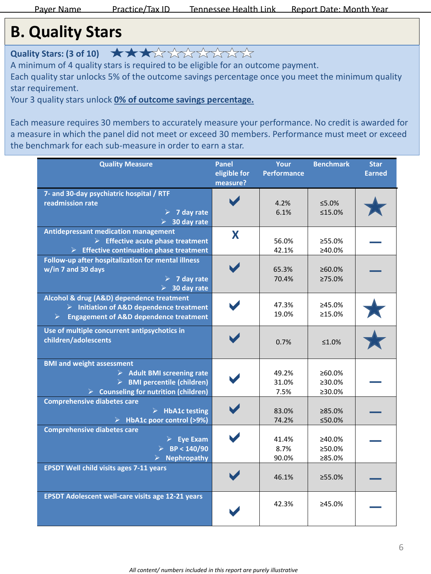### **B. Quality Stars**

**Quality Stars: (3 of 10)**  $\star \star \star \star \star \star \star \star \star \star \star \star \star \star \star \star$ 

A minimum of 4 quality stars is required to be eligible for an outcome payment.

Each quality star unlocks 5% of the outcome savings percentage once you meet the minimum quality star requirement.

Your 3 quality stars unlock **0% of outcome savings percentage.**

Each measure requires 30 members to accurately measure your performance. No credit is awarded for a measure in which the panel did not meet or exceed 30 members. Performance must meet or exceed the benchmark for each sub-measure in order to earn a star.

| <b>Quality Measure</b>                                                                                                                                               | <b>Panel</b><br>eligible for<br>measure? | Your<br><b>Performance</b> | <b>Benchmark</b>                  | <b>Star</b><br><b>Earned</b> |
|----------------------------------------------------------------------------------------------------------------------------------------------------------------------|------------------------------------------|----------------------------|-----------------------------------|------------------------------|
| 7- and 30-day psychiatric hospital / RTF<br>readmission rate<br>$> 7$ day rate<br>30 day rate                                                                        |                                          | 4.2%<br>6.1%               | $5.0\%$<br>≤15.0%                 |                              |
| Antidepressant medication management<br>$\triangleright$ Effective acute phase treatment<br>$\triangleright$ Effective continuation phase treatment                  | X                                        | 56.0%<br>42.1%             | ≥55.0%<br>≥40.0%                  |                              |
| Follow-up after hospitalization for mental illness<br>w/in 7 and 30 days<br>$> 7$ day rate<br>$\geq$ 30 day rate                                                     |                                          | 65.3%<br>70.4%             | ≥60.0%<br>≥75.0%                  |                              |
| Alcohol & drug (A&D) dependence treatment<br>$\triangleright$ Initiation of A&D dependence treatment<br><b>Engagement of A&amp;D dependence treatment</b><br>≻       |                                          | 47.3%<br>19.0%             | ≥45.0%<br>≥15.0%                  |                              |
| Use of multiple concurrent antipsychotics in<br>children/adolescents                                                                                                 |                                          | 0.7%                       | ≤1.0%                             |                              |
| <b>BMI and weight assessment</b><br>$\triangleright$ Adult BMI screening rate<br>> BMI percentile (children)<br>$\triangleright$ Counseling for nutrition (children) |                                          | 49.2%<br>31.0%<br>7.5%     | ≥60.0%<br>$\geq 30.0\%$<br>≥30.0% |                              |
| <b>Comprehensive diabetes care</b><br>$\triangleright$ HbA1c testing<br>$\triangleright$ HbA1c poor control (>9%)                                                    |                                          | 83.0%<br>74.2%             | ≥85.0%<br>≤50.0%                  |                              |
| <b>Comprehensive diabetes care</b><br>$\triangleright$ Eye Exam<br>$\triangleright$ BP < 140/90<br><b>Nephropathy</b>                                                |                                          | 41.4%<br>8.7%<br>90.0%     | ≥40.0%<br>≥50.0%<br>≥85.0%        |                              |
| <b>EPSDT Well child visits ages 7-11 years</b>                                                                                                                       |                                          | 46.1%                      | >55.0%                            |                              |
| <b>EPSDT Adolescent well-care visits age 12-21 years</b>                                                                                                             |                                          | 42.3%                      | ≥45.0%                            |                              |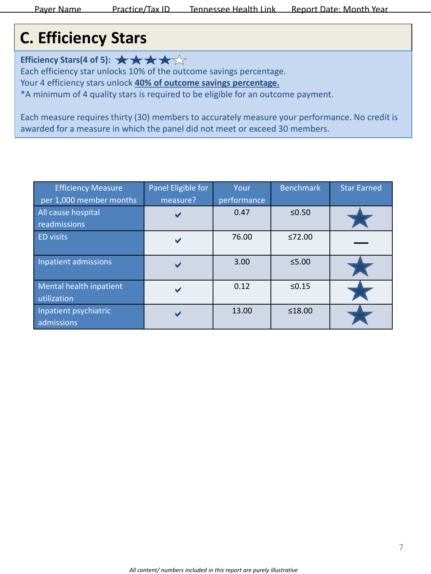### **C. Efficiency Stars**

**Efficiency Stars(4 of 5):**  $\star \star \star \star \star$ 

Each efficiency star unlocks 10% of the outcome savings percentage.

Your 4 efficiency stars unlock **40% of outcome savings percentage.** 

\*A minimum of 4 quality stars is required to be eligible for an outcome payment.

Each measure requires thirty (30) members to accurately measure your performance. No credit is awarded for a measure in which the panel did not meet or exceed 30 members.

| <b>Efficiency Measure</b>                                     | Panel Eligible for | Your                | <b>Benchmark</b> | <b>Star Earned</b> |
|---------------------------------------------------------------|--------------------|---------------------|------------------|--------------------|
| per 1,000 member months<br>All cause hospital<br>readmissions | measure?           | performance<br>0.47 | $≤0.50$          |                    |
| <b>ED visits</b>                                              |                    | 76.00               | ≤72.00           |                    |
| Inpatient admissions                                          |                    | 3.00                | $\leq$ 5.00      |                    |
| Mental health inpatient<br>utilization                        |                    | 0.12                | $\leq 0.15$      |                    |
| Inpatient psychiatric<br>admissions                           |                    | 13.00               | ≤18.00           |                    |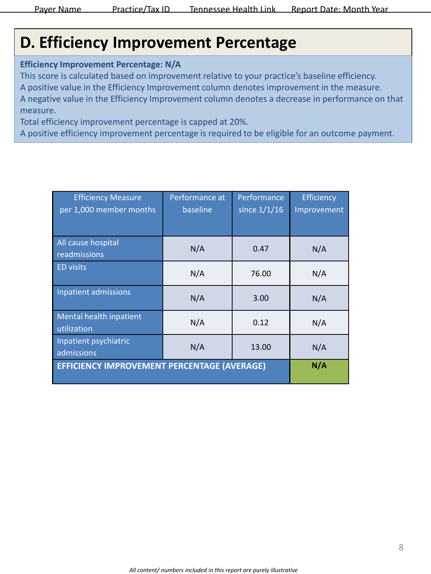### **D. Efficiency Improvement Percentage**

**Efficiency Improvement Percentage: N/A**

This score is calculated based on improvement relative to your practice's baseline efficiency. A positive value in the Efficiency Improvement column denotes improvement in the measure. A negative value in the Efficiency Improvement column denotes a decrease in performance on that measure.

Total efficiency improvement percentage is capped at 20%.

A positive efficiency improvement percentage is required to be eligible for an outcome payment.

| <b>Efficiency Measure</b><br>per 1,000 member months | Performance at<br>baseline | Performance<br>since $1/1/16$ | Efficiency<br>Improvement |
|------------------------------------------------------|----------------------------|-------------------------------|---------------------------|
| All cause hospital<br>readmissions                   | N/A                        | 0.47                          | N/A                       |
| <b>ED visits</b>                                     | N/A                        | 76.00                         | N/A                       |
| Inpatient admissions                                 | N/A                        | 3.00                          | N/A                       |
| Mental health inpatient<br>utilization               | N/A                        | 0.12                          | N/A                       |
| Inpatient psychiatric<br>admissions                  | N/A                        | 13.00                         | N/A                       |
| <b>EFFICIENCY IMPROVEMENT PERCENTAGE (AVERAGE)</b>   |                            |                               | N/A                       |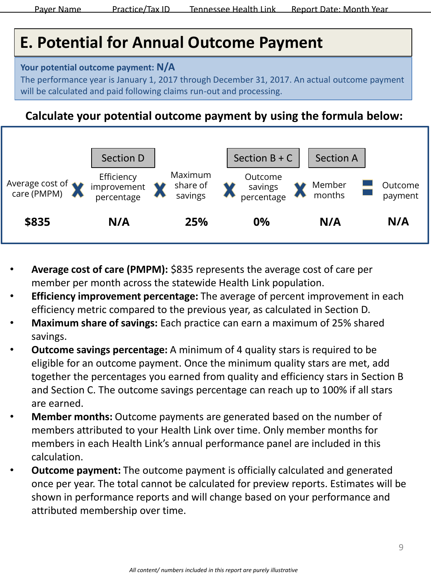### **E. Potential for Annual Outcome Payment**

#### **Your potential outcome payment: N/A**

The performance year is January 1, 2017 through December 31, 2017. An actual outcome payment will be calculated and paid following claims run-out and processing.

### **Calculate your potential outcome payment by using the formula below:**



- **Average cost of care (PMPM):** \$835 represents the average cost of care per member per month across the statewide Health Link population.
- **Efficiency improvement percentage:** The average of percent improvement in each efficiency metric compared to the previous year, as calculated in Section D.
- **Maximum share of savings:** Each practice can earn a maximum of 25% shared savings.
- **Outcome savings percentage:** A minimum of 4 quality stars is required to be eligible for an outcome payment. Once the minimum quality stars are met, add together the percentages you earned from quality and efficiency stars in Section B and Section C. The outcome savings percentage can reach up to 100% if all stars are earned.
- **Member months:** Outcome payments are generated based on the number of members attributed to your Health Link over time. Only member months for members in each Health Link's annual performance panel are included in this calculation.
- **Outcome payment:** The outcome payment is officially calculated and generated once per year. The total cannot be calculated for preview reports. Estimates will be shown in performance reports and will change based on your performance and attributed membership over time.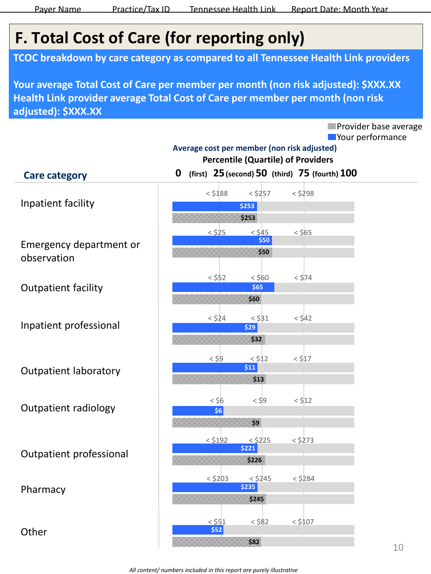Provider base average

### **F. Total Cost of Care (for reporting only)**

**TCOC breakdown by care category as compared to all Tennessee Health Link providers**

**Your average Total Cost of Care per member per month (non risk adjusted): \$XXX.XX Health Link provider average Total Cost of Care per member per month (non risk adjusted): \$XXX.XX**

**Nour performance** Emergency department or observation Outpatient facility Inpatient professional Outpatient laboratory Outpatient radiology Inpatient facility **25 50 0 (first) (second) (third) 75 (fourth) 100 Percentile (Quartile) of Providers Average cost per member (non risk adjusted)** < \$188 < \$257 < \$298 **\$253 \$253**  $<$  \$25  $<$  \$45  $<$  \$65  $<$  \$52  $<$  \$60  $<$  \$74 **\$65 \$60**  $<$  \$24  $<$  \$31  $<$  \$42 **\$29 \$32**  $<$  \$9  $<$  \$12  $<$  \$17 **\$11 \$13**  $\lt$  \$6  $\lt$  \$9  $\lt$  \$12 **\$6 \$9 \$ 170 \$50 \$50 Care category** Outpatient professional Pharmacy **Other**  $<$  \$192  $<$  \$225  $<$  \$273 **\$221 \$226**  $<$  \$203  $<$  \$245  $<$  \$284 **\$235 \$245**  $<$   $551$   $<$   $582$   $<$   $5107$ **\$52 \$82**

*All content/ numbers included in this report are purely illustrative*

**\$180**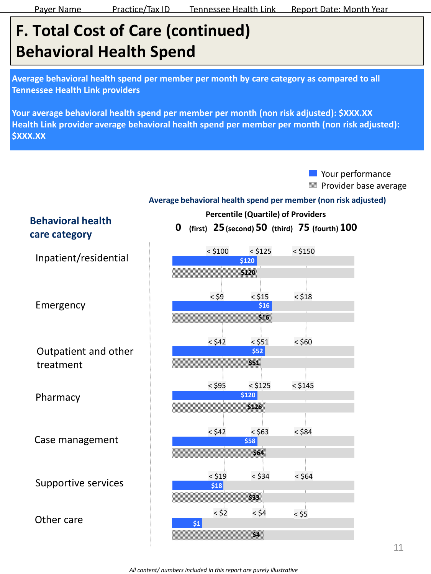## **F. Total Cost of Care (continued) Behavioral Health Spend**

**Average behavioral health spend per member per month by care category as compared to all Tennessee Health Link providers**

**Your average behavioral health spend per member per month (non risk adjusted): \$XXX.XX Health Link provider average behavioral health spend per member per month (non risk adjusted): \$XXX.XX**

> **Nour performance** Provider base average

#### **Average behavioral health spend per member (non risk adjusted)**

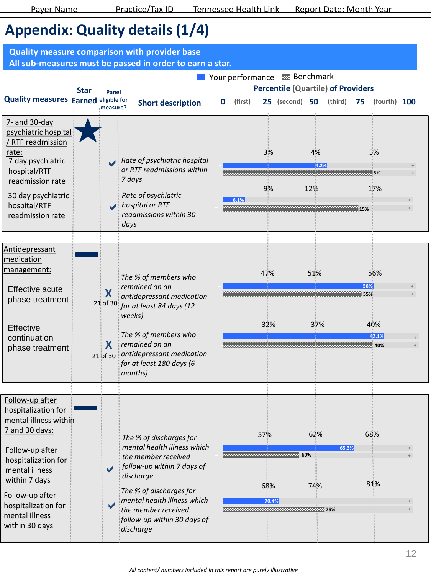### **Appendix: Quality details (1/4)**

| <b>Quality measure comparison with provider base</b><br>All sub-measures must be passed in order to earn a star.                                                                                                                             |             |                                |                                                                                                                                                                                                                                                       |   |                  |                     |                                                                      |              |                       |                              |  |
|----------------------------------------------------------------------------------------------------------------------------------------------------------------------------------------------------------------------------------------------|-------------|--------------------------------|-------------------------------------------------------------------------------------------------------------------------------------------------------------------------------------------------------------------------------------------------------|---|------------------|---------------------|----------------------------------------------------------------------|--------------|-----------------------|------------------------------|--|
|                                                                                                                                                                                                                                              | <b>Star</b> | Panel                          |                                                                                                                                                                                                                                                       |   | Your performance |                     | ※ Benchmark<br><b>Percentile (Quartile) of Providers</b>             |              |                       |                              |  |
| <b>Quality measures Earned eligible for</b>                                                                                                                                                                                                  |             | measure?                       | <b>Short description</b>                                                                                                                                                                                                                              | 0 | (first)          |                     | 25 (second) 50                                                       | (third)      | - 75                  | (fourth) 100                 |  |
| 7- and 30-day<br>psychiatric hospital<br>/ RTF readmission<br>rate:<br>7 day psychiatric<br>hospital/RTF<br>readmission rate<br>30 day psychiatric<br>hospital/RTF<br>readmission rate                                                       |             |                                | Rate of psychiatric hospital<br>or RTF readmissions within<br>7 days<br>Rate of psychiatric<br>hospital or RTF<br>readmissions within 30<br>days                                                                                                      |   | 6.1%             | 3%<br>9%            | 4%<br>12%<br>. The contract of the contract of $\sim$ 15% $^{\circ}$ | 4.2%         |                       | 5%<br>≡5%<br>17%             |  |
|                                                                                                                                                                                                                                              |             |                                |                                                                                                                                                                                                                                                       |   |                  |                     |                                                                      |              |                       |                              |  |
| Antidepressant<br>medication<br>management:<br>Effective acute<br>phase treatment<br>Effective<br>continuation<br>phase treatment                                                                                                            |             | X<br>21 of 30<br>X<br>21 of 30 | The % of members who<br>remained on an<br>antidepressant medication<br>for at least 84 days (12<br>weeks)<br>The % of members who<br>remained on an<br>antidepressant medication<br>for at least 180 days (6<br>months)                               |   |                  | 47%<br>32%          | 51%                                                                  | 37%          | 56%<br><b>EEE</b> 55% | 56%<br>40%<br>42.1%<br>≊ 40% |  |
| Follow-up after<br>hospitalization for<br>mental illness within<br>7 and 30 days:<br>Follow-up after<br>hospitalization for<br>mental illness<br>within 7 days<br>Follow-up after<br>hospitalization for<br>mental illness<br>within 30 days |             |                                | The % of discharges for<br>mental health illness which<br>the member received<br>follow-up within 7 days of<br>discharge<br>The % of discharges for<br>mental health illness which<br>the member received<br>follow-up within 30 days of<br>discharge |   |                  | 57%<br>68%<br>70.4% | 룸 60%<br>74%                                                         | 62%<br>65.3% |                       | 68%<br>81%                   |  |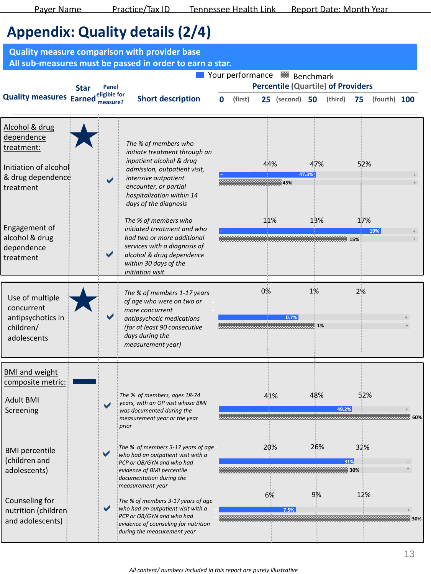### **Appendix: Quality details (2/4)**

|                                                                                                                                                                     |             |                                   | <b>Quality measure comparison with provider base</b><br>All sub-measures must be passed in order to earn a star.                                                                                                                                                                                                                                                                                                        |   |         |            |                                                                                                   |                     |                                      |            |              |        |
|---------------------------------------------------------------------------------------------------------------------------------------------------------------------|-------------|-----------------------------------|-------------------------------------------------------------------------------------------------------------------------------------------------------------------------------------------------------------------------------------------------------------------------------------------------------------------------------------------------------------------------------------------------------------------------|---|---------|------------|---------------------------------------------------------------------------------------------------|---------------------|--------------------------------------|------------|--------------|--------|
| <b>Quality measures Earned</b>                                                                                                                                      | <b>Star</b> | Panel<br>eligible for<br>measure? | <b>Short description</b>                                                                                                                                                                                                                                                                                                                                                                                                | 0 | (first) |            | Your performance  Benchmark<br><b>Percentile (Quartile) of Providers</b><br><b>25</b> (second) 50 |                     | (third)                              | 75         | (fourth) 100 |        |
| Alcohol & drug<br>dependence<br>treatment:<br>Initiation of alcohol<br>& drug dependence<br>treatment<br>Engagement of<br>alcohol & drug<br>dependence<br>treatment |             |                                   | The % of members who<br>initiate treatment through an<br>inpatient alcohol & drug<br>admission, outpatient visit,<br>intensive outpatient<br>encounter, or partial<br>hospitalization within 14<br>days of the diagnosis<br>The % of members who<br>initiated treatment and who<br>had two or more additional<br>services with a diagnosis of<br>alcohol & drug dependence<br>within 30 days of the<br>initiation visit |   |         | 44%<br>11% | $\frac{1}{2}$ 45%                                                                                 | 47%<br>47.3%<br>13% | $\sim$ 15% and $\sim$ 15% and $\sim$ | 52%<br>17% | 19%          |        |
| Use of multiple<br>concurrent<br>antipsychotics in<br>children/<br>adolescents                                                                                      |             |                                   | The % of members 1-17 years<br>of age who were on two or<br>more concurrent<br>antipsychotic medications<br>(for at least 90 consecutive<br>days during the<br>measurement year)                                                                                                                                                                                                                                        |   |         | 0%         | 0.7%<br><del>------------</del> 1%                                                                | $1\%$               |                                      | 2%         |              |        |
| <b>BMI and weight</b><br>composite metric:<br><b>Adult BMI</b><br>Screening                                                                                         |             |                                   | The % of members, ages 18-74<br>years, with an OP visit whose BMI<br>was documented during the<br>measurement year or the year<br>prior                                                                                                                                                                                                                                                                                 |   |         | 41%        |                                                                                                   | 48%                 | 49.2%                                | 52%        |              | ≡≣ 60% |
| <b>BMI</b> percentile<br>(children and<br>adolescents)                                                                                                              |             |                                   | The % of members 3-17 years of age<br>who had an outpatient visit with a<br>PCP or OB/GYN and who had<br>evidence of BMI percentile<br>documentation during the<br>measurement year                                                                                                                                                                                                                                     |   |         | 20%        |                                                                                                   | 26%                 | 31%<br>30%                           | 32%        |              |        |
| Counseling for<br>nutrition (children<br>and adolescents)                                                                                                           |             |                                   | The % of members 3-17 years of age<br>who had an outpatient visit with a<br>PCP or OB/GYN and who had<br>evidence of counseling for nutrition<br>during the measurement year                                                                                                                                                                                                                                            |   |         | 6%         | 7.5%                                                                                              | 9%                  |                                      | 12%        |              |        |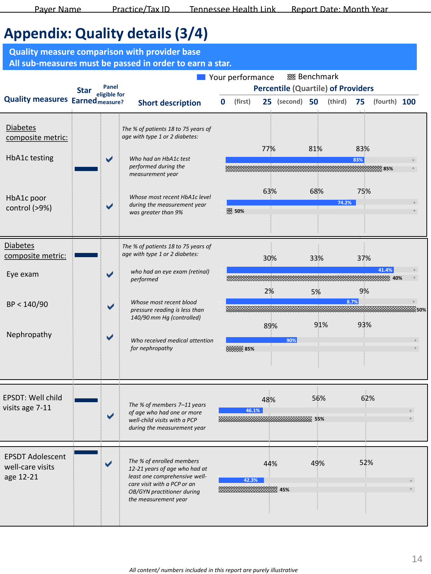### **Appendix: Quality details (3/4)**

**25 50 (first) (second) (third) (fourth) Percentile (Quartile) of Providers Quality measures** Earned<sub>measure</sub>? Short description 0 (first) 25 (second) 50 (third) 75 (fourth) 100 **Nour performance Star**  2% 5% 9% **– 8.7% + – + 50%**  $\blacktriangledown$  $\blacktriangledown$  **–** *Who received medical attention*  **+ 85% +** 89% 91% 93% Eye exam BP < 140/90 Nephropathy *who had an eye exam (retinal) performed Whose most recent blood pressure reading is less than 140/90 mm Hg (controlled) for nephropathy*  **Short description – + + 42.3% 45%** 44% 49% 52% *The % of enrolled members*   $\blacktriangledown$ **– – 55% + + 46.1%** EPSDT: Well child visits age 7-11 *The % of members 7–11 years of age who had one or more well-child visits with a PCP during the measurement year 12-21 years of age who had at least one comprehensive wellcare visit with a PCP or an OB/GYN practitioner during the measurement year*  EPSDT Adolescent well-care visits age 12-21 77% 81% 83% **– 90% + + 83% 85%** *The % of patients 18 to 75 years of age with type 1 or 2 diabetes: Who had an HbA1c test performed during the measurement year Whose most recent HbA1c level during the measurement year* **14.2%** *74.2% 74.2% 74.2% was greater than 9%* Diabetes composite metric: HbA1c testing HbA1c poor control (>9%) Diabetes  $\frac{1}{2}$  composite metric:  $\frac{1}{2}$  age with type 1 or 2 diabetes:  $\frac{30\%}{20\%}$  33% 37% **– 90% + + 41.4% 40%** *The % of patients 18 to 75 years of age with type 1 or 2 diabetes:* 63% 68% 75% **– 90% + + Panel eligible for Quality measure comparison with provider base All sub-measures must be passed in order to earn a star. Benchmark** 48% 56% 62% **90%**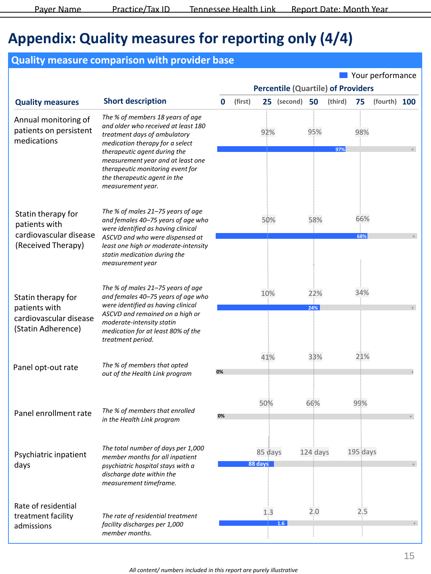### **Appendix: Quality measures for reporting only (4/4)**

### **Quality measure comparison with provider base**

|                                                                                     |                                                                                                                                                                                                                                                                                                          |    |         |                    | <b>Percentile (Quartile) of Providers</b> |            |         |            | Your performance |  |
|-------------------------------------------------------------------------------------|----------------------------------------------------------------------------------------------------------------------------------------------------------------------------------------------------------------------------------------------------------------------------------------------------------|----|---------|--------------------|-------------------------------------------|------------|---------|------------|------------------|--|
| <b>Quality measures</b>                                                             | <b>Short description</b>                                                                                                                                                                                                                                                                                 | 0  | (first) |                    | 25 (second)                               | 50         | (third) | 75         | (fourth) 100     |  |
| Annual monitoring of<br>patients on persistent<br>medications                       | The % of members 18 years of age<br>and older who received at least 180<br>treatment days of ambulatory<br>medication therapy for a select<br>therapeutic agent during the<br>measurement year and at least one<br>therapeutic monitoring event for<br>the therapeutic agent in the<br>measurement year. |    |         | 92%                |                                           | 95%        | 97%     | 98%        |                  |  |
| Statin therapy for<br>patients with<br>cardiovascular disease<br>(Received Therapy) | The % of males 21-75 years of age<br>and females 40-75 years of age who<br>were identified as having clinical<br>ASCVD and who were dispensed at<br>least one high or moderate-intensity<br>statin medication during the<br>measurement year                                                             |    |         | 50%                |                                           | 58%        |         | 66%<br>68% |                  |  |
| Statin therapy for<br>patients with<br>cardiovascular disease<br>(Statin Adherence) | The % of males 21-75 years of age<br>and females 40-75 years of age who<br>were identified as having clinical<br>ASCVD and remained on a high or<br>moderate-intensity statin<br>medication for at least 80% of the<br>treatment period.                                                                 |    |         | 10%                |                                           | 22%<br>24% |         | 34%        |                  |  |
| Panel opt-out rate                                                                  | The % of members that opted<br>out of the Health Link program                                                                                                                                                                                                                                            | 0% |         | 41%                |                                           | 33%        |         | 21%        |                  |  |
| Panel enrollment rate                                                               | The % of members that enrolled<br>in the Health Link program                                                                                                                                                                                                                                             | 0% |         | 50%                |                                           | 66%        |         | 99%        |                  |  |
| Psychiatric inpatient<br>days                                                       | The total number of days per 1,000<br>member months for all inpatient<br>psychiatric hospital stays with a<br>discharge date within the<br>measurement timeframe.                                                                                                                                        |    |         | 85 days<br>88 days |                                           | 124 days   |         | 195 days   |                  |  |
| Rate of residential<br>treatment facility<br>admissions                             | The rate of residential treatment<br>facility discharges per 1,000<br>member months.                                                                                                                                                                                                                     |    |         | 1.3                | 1.6                                       | 2.0        |         | 2.5        |                  |  |